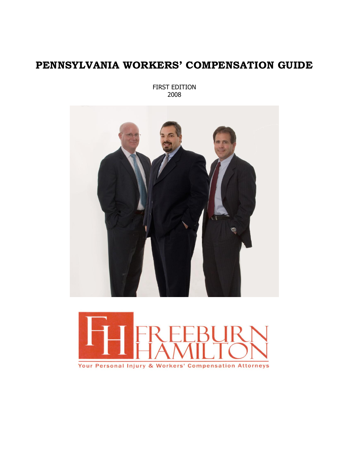# **PENNSYLVANIA WORKERS' COMPENSATION GUIDE**

FIRST EDITION 2008



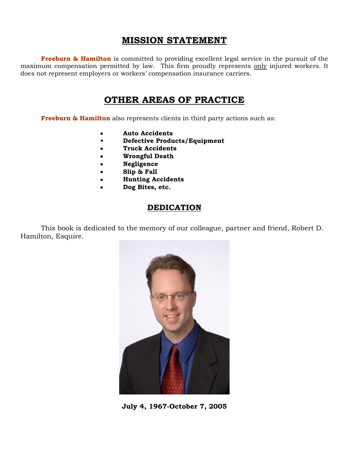## **MISSION STATEMENT**

**Freeburn & Hamilton** is committed to providing excellent legal service in the pursuit of the maximum compensation permitted by law. This firm proudly represents only injured workers. It does not represent employers or workers' compensation insurance carriers.

## **OTHER AREAS OF PRACTICE**

**Freeburn & Hamilton** also represents clients in third party actions such as:

- **Auto Accidents**
- **Defective Products/Equipment**
- **Truck Accidents**
- **Wrongful Death**
- **Negligence**
- **Slip & Fall**
- **Hunting Accidents**
- **Dog Bites, etc.**

### **DEDICATION**

This book is dedicated to the memory of our colleague, partner and friend, Robert D. Hamilton, Esquire.



**July 4, 1967-October 7, 2005**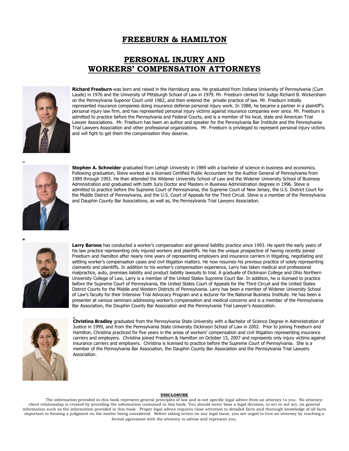### **FREEBURN & HAMILTON**

### **PERSONAL INJURY AND WORKERS' COMPENSATION ATTORNEYS**



**Richard Freeburn** was born and raised in the Harrisburg area. He graduated from Indiana University of Pennsylvania (Cum Laude) in 1976 and the University of Pittsburgh School of Law in 1979. Mr. Freeburn clerked for Judge Richard B. Wickersham on the Pennsylvania Superior Court until 1982, and then entered the private practice of law. Mr. Freeburn initially represented insurance companies doing insurance defense personal injury work. In 1988, he became a partner in a plaintiff's personal injury law firm, and has represented personal injury victims against insurance companies ever since. Mr. Freeburn is admitted to practice before the Pennsylvania and Federal Courts, and is a member of his local, state and American Trial Lawyer Associations. Mr. Freeburn has been an author and speaker for the Pennsylvania Bar Institute and the Pennsylvania Trial Lawyers Association and other professional organizations. Mr. Freeburn is privileged to represent personal injury victims and will fight to get them the compensation they deserve.



**Stephen A. Schneider** graduated from Lehigh University in 1989 with a bachelor of science in business and economics. Following graduation, Steve worked as a licensed Certified Public Accountant for the Auditor General of Pennsylvania from 1989 through 1993. He then attended the Widener University School of Law and the Widener University School of Business Administration and graduated with both Juris Doctor and Masters in Business Administration degrees in 1996. Steve is admitted to practice before the Supreme Court of Pennsylvania, the Supreme Court of New Jersey, the U.S. District Court for the Middle District of Pennsylvania, and the U.S. Court of Appeals for the Third Circuit. Steve is a member of the Pennsylvania and Dauphin County Bar Associations, as well as, the Pennsylvania Trial Lawyers Association.



Larry Barone has conducted a worker's compensation and general liability practice since 1993. He spent the early years of his law practice representing only injured workers and plaintiffs. He has the unique prospective of having recently joined Freeburn and Hamilton after nearly nine years of representing employers and insurance carriers in litigating, negotiating and settling worker's compensation cases and civil litigation matters. He now resumes his previous practice of solely representing claimants and plaintiffs. In addition to his worker's compensation experience, Larry has taken medical and professional malpractice, auto, premises liability and product liability lawsuits to trial. A graduate of Dickinson College and Ohio Northern University College of Law, Larry is a member of the United States Supreme Court Bar. In addition, he is licensed to practice before the Supreme Court of Pennsylvania, the United States Court of Appeals for the Third Circuit and the United States District Courts for the Middle and Western Districts of Pennsylvania. Larry has been a member of Widener University School of Law's faculty for their Intensive Trial Advocacy Program and a lecturer for the National Business Institute. He has been a presenter at various seminars addressing worker's compensation and medical concerns and is a member of the Pennsylvania Bar Association, the Dauphin County Bar Association and the Pennsylvania Trial Lawyer's Association.



**Christina Bradley** graduated from the Pennsylvania State University with a Bachelor of Science Degree in Administration of Justice in 1999, and from the Pennsylvania State University Dickinson School of Law in 2002. Prior to joining Freeburn and Hamilton, Christina practiced for five years in the areas of workers' compensation and civil litigation representing insurance carriers and employers. Christina joined Freeburn & Hamilton on October 15, 2007 and represents only injury victims against insurance carriers and employers. Christina is licensed to practice before the Supreme Court of Pennsylvania. She is a member of the Pennsylvania Bar Association, the Dauphin County Bar Association and the Pennsylvania Trial Lawyers Association.

#### **DISCLOSURE**

The information provided in this book represent general principles of law and is not specific legal advice from an attorney to you. No attorneyclient relationship is created by providing the information contained in this book. You should never base a legal decision, to act or not act, on general information such as the information provided in this book. Proper legal advice requires close attention to detailed facts and thorough knowledge of all facts important to forming a judgment on the matter being considered. Before taking action on any legal issue, you are urged to hire an attorney by reaching a formal agreement with the attorney to advise and represent you.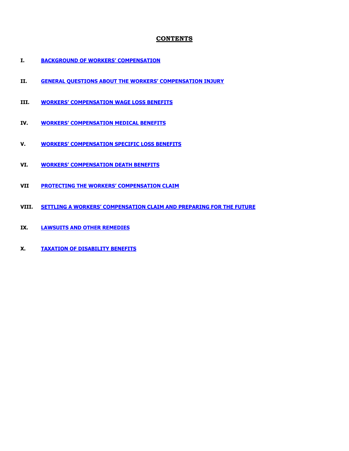#### **CONTENTS**

- **I. [BACKGROUND OF WORKERS' COMPENSATION](#page-4-0)**
- **II. [GENERAL QUESTIONS ABOUT THE WORKERS' COMPENSATION INJURY](#page-4-1)**
- **III. [WORKERS' COMPENSATION WAGE LOS](#page-5-0)S BENEFITS**
- **IV. [WORKERS' COMPENSATION MEDICAL BENEFITS](#page-7-0)**
- **V. [WORKERS' COMPENSATION SPECIFIC LOSS BENEFITS](#page-10-0)**
- **VI. [WORKERS' COMPENSATION DEATH BENEFITS](#page-11-0)**
- **VII [PROTECTING THE WORKERS' COMPENSATION CLAIM](#page-12-0)**
- **VIII. [SETTLING A WORKERS' COMPENSATION CLAIM AND PREPARING FOR THE FUTU](#page-17-0)RE**
- **IX. [LAWSUITS AND OTHER REMEDIES](#page-18-0)**
- **X. [TAXATION OF DISABILITY BENEFITS](#page-21-0)**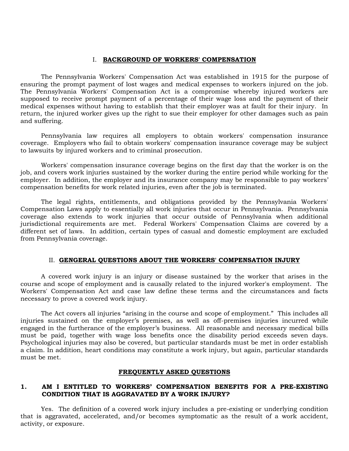#### I. **BACKGROUND OF WORKERS' COMPENSATION**

<span id="page-4-0"></span>The Pennsylvania Workers' Compensation Act was established in 1915 for the purpose of ensuring the prompt payment of lost wages and medical expenses to workers injured on the job. The Pennsylvania Workers' Compensation Act is a compromise whereby injured workers are supposed to receive prompt payment of a percentage of their wage loss and the payment of their medical expenses without having to establish that their employer was at fault for their injury. In return, the injured worker gives up the right to sue their employer for other damages such as pain and suffering.

Pennsylvania law requires all employers to obtain workers' compensation insurance coverage. Employers who fail to obtain workers' compensation insurance coverage may be subject to lawsuits by injured workers and to criminal prosecution.

Workers' compensation insurance coverage begins on the first day that the worker is on the job, and covers work injuries sustained by the worker during the entire period while working for the employer. In addition, the employer and its insurance company may be responsible to pay workers' compensation benefits for work related injuries, even after the job is terminated.

The legal rights, entitlements, and obligations provided by the Pennsylvania Workers' Compensation Laws apply to essentially all work injuries that occur in Pennsylvania. Pennsylvania coverage also extends to work injuries that occur outside of Pennsylvania when additional jurisdictional requirements are met. Federal Workers' Compensation Claims are covered by a different set of laws. In addition, certain types of casual and domestic employment are excluded from Pennsylvania coverage.

#### II. **GENGERAL QUESTIONS ABOUT THE WORKERS' COMPENSATION INJURY**

<span id="page-4-1"></span>A covered work injury is an injury or disease sustained by the worker that arises in the course and scope of employment and is causally related to the injured worker's employment. The Workers' Compensation Act and case law define these terms and the circumstances and facts necessary to prove a covered work injury.

The Act covers all injuries "arising in the course and scope of employment." This includes all injuries sustained on the employer's premises, as well as off-premises injuries incurred while engaged in the furtherance of the employer's business. All reasonable and necessary medical bills must be paid, together with wage loss benefits once the disability period exceeds seven days. Psychological injuries may also be covered, but particular standards must be met in order establish a claim. In addition, heart conditions may constitute a work injury, but again, particular standards must be met.

#### **FREQUENTLY ASKED QUESTIONS**

#### **1. AM I ENTITLED TO WORKERS' COMPENSATION BENEFITS FOR A PRE-EXISTING CONDITION THAT IS AGGRAVATED BY A WORK INJURY?**

Yes. The definition of a covered work injury includes a pre-existing or underlying condition that is aggravated, accelerated, and/or becomes symptomatic as the result of a work accident, activity, or exposure.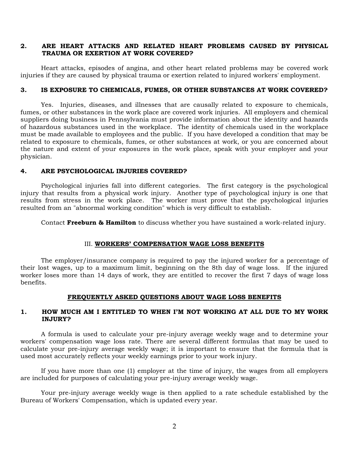#### **2. ARE HEART ATTACKS AND RELATED HEART PROBLEMS CAUSED BY PHYSICAL TRAUMA OR EXERTION AT WORK COVERED?**

Heart attacks, episodes of angina, and other heart related problems may be covered work injuries if they are caused by physical trauma or exertion related to injured workers' employment.

#### **3. IS EXPOSURE TO CHEMICALS, FUMES, OR OTHER SUBSTANCES AT WORK COVERED?**

Yes. Injuries, diseases, and illnesses that are causally related to exposure to chemicals, fumes, or other substances in the work place are covered work injuries. All employers and chemical suppliers doing business in Pennsylvania must provide information about the identity and hazards of hazardous substances used in the workplace. The identity of chemicals used in the workplace must be made available to employees and the public. If you have developed a condition that may be related to exposure to chemicals, fumes, or other substances at work, or you are concerned about the nature and extent of your exposures in the work place, speak with your employer and your physician.

#### **4. ARE PSYCHOLOGICAL INJURIES COVERED?**

Psychological injuries fall into different categories. The first category is the psychological injury that results from a physical work injury. Another type of psychological injury is one that results from stress in the work place. The worker must prove that the psychological injuries resulted from an "abnormal working condition" which is very difficult to establish.

Contact **Freeburn & Hamilton** to discuss whether you have sustained a work-related injury.

#### III. **WORKERS' COMPENSATION WAGE LOSS BENEFITS**

<span id="page-5-0"></span>The employer/insurance company is required to pay the injured worker for a percentage of their lost wages, up to a maximum limit, beginning on the 8th day of wage loss. If the injured worker loses more than 14 days of work, they are entitled to recover the first 7 days of wage loss benefits.

#### **FREQUENTLY ASKED QUESTIONS ABOUT WAGE LOSS BENEFITS**

#### **1. HOW MUCH AM I ENTITLED TO WHEN I'M NOT WORKING AT ALL DUE TO MY WORK INJURY?**

A formula is used to calculate your pre-injury average weekly wage and to determine your workers' compensation wage loss rate. There are several different formulas that may be used to calculate your pre-injury average weekly wage; it is important to ensure that the formula that is used most accurately reflects your weekly earnings prior to your work injury.

If you have more than one (1) employer at the time of injury, the wages from all employers are included for purposes of calculating your pre-injury average weekly wage.

Your pre-injury average weekly wage is then applied to a rate schedule established by the Bureau of Workers' Compensation, which is updated every year.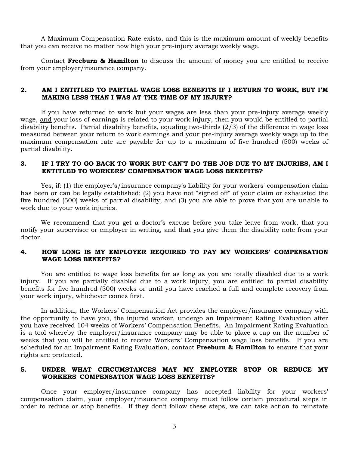A Maximum Compensation Rate exists, and this is the maximum amount of weekly benefits that you can receive no matter how high your pre-injury average weekly wage.

Contact **Freeburn & Hamilton** to discuss the amount of money you are entitled to receive from your employer/insurance company.

#### **2. AM I ENTITLED TO PARTIAL WAGE LOSS BENEFITS IF I RETURN TO WORK, BUT I'M MAKING LESS THAN I WAS AT THE TIME OF MY INJURY?**

If you have returned to work but your wages are less than your pre-injury average weekly wage, and your loss of earnings is related to your work injury, then you would be entitled to partial disability benefits. Partial disability benefits, equaling two-thirds (2/3) of the difference in wage loss measured between your return to work earnings and your pre-injury average weekly wage up to the maximum compensation rate are payable for up to a maximum of five hundred (500) weeks of partial disability.

#### **3. IF I TRY TO GO BACK TO WORK BUT CAN'T DO THE JOB DUE TO MY INJURIES, AM I ENTITLED TO WORKERS' COMPENSATION WAGE LOSS BENEFITS?**

Yes, if: (1) the employer's/insurance company's liability for your workers' compensation claim has been or can be legally established; (2) you have not "signed off" of your claim or exhausted the five hundred (500) weeks of partial disability; and (3) you are able to prove that you are unable to work due to your work injuries.

We recommend that you get a doctor's excuse before you take leave from work, that you notify your supervisor or employer in writing, and that you give them the disability note from your doctor.

#### **4. HOW LONG IS MY EMPLOYER REQUIRED TO PAY MY WORKERS' COMPENSATION WAGE LOSS BENEFITS?**

You are entitled to wage loss benefits for as long as you are totally disabled due to a work injury. If you are partially disabled due to a work injury, you are entitled to partial disability benefits for five hundred (500) weeks or until you have reached a full and complete recovery from your work injury, whichever comes first.

In addition, the Workers' Compensation Act provides the employer/insurance company with the opportunity to have you, the injured worker, undergo an Impairment Rating Evaluation after you have received 104 weeks of Workers' Compensation Benefits. An Impairment Rating Evaluation is a tool whereby the employer/insurance company may be able to place a cap on the number of weeks that you will be entitled to receive Workers' Compensation wage loss benefits. If you are scheduled for an Impairment Rating Evaluation, contact **Freeburn & Hamilton** to ensure that your rights are protected.

### **5. UNDER WHAT CIRCUMSTANCES MAY MY EMPLOYER STOP OR REDUCE MY WORKERS' COMPENSATION WAGE LOSS BENEFITS?**

Once your employer/insurance company has accepted liability for your workers' compensation claim, your employer/insurance company must follow certain procedural steps in order to reduce or stop benefits. If they don't follow these steps, we can take action to reinstate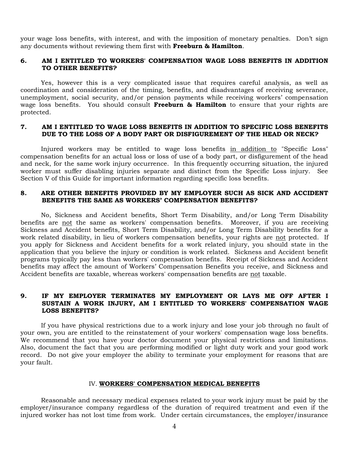your wage loss benefits, with interest, and with the imposition of monetary penalties. Don't sign any documents without reviewing them first with **Freeburn & Hamilton**.

#### **6. AM I ENTITLED TO WORKERS' COMPENSATION WAGE LOSS BENEFITS IN ADDITION TO OTHER BENEFITS?**

Yes, however this is a very complicated issue that requires careful analysis, as well as coordination and consideration of the timing, benefits, and disadvantages of receiving severance, unemployment, social security, and/or pension payments while receiving workers' compensation wage loss benefits. You should consult **Freeburn & Hamilton** to ensure that your rights are protected.

#### **7. AM I ENTITLED TO WAGE LOSS BENEFITS IN ADDITION TO SPECIFIC LOSS BENEFITS DUE TO THE LOSS OF A BODY PART OR DISFIGUREMENT OF THE HEAD OR NECK?**

Injured workers may be entitled to wage loss benefits in addition to "Specific Loss" compensation benefits for an actual loss or loss of use of a body part, or disfigurement of the head and neck, for the same work injury occurrence. In this frequently occurring situation, the injured worker must suffer disabling injuries separate and distinct from the Specific Loss injury. See Section V of this Guide for important information regarding specific loss benefits.

#### **8. ARE OTHER BENEFITS PROVIDED BY MY EMPLOYER SUCH AS SICK AND ACCIDENT BENEFITS THE SAME AS WORKERS' COMPENSATION BENEFITS?**

No, Sickness and Accident benefits, Short Term Disability, and/or Long Term Disability benefits are not the same as workers' compensation benefits. Moreover, if you are receiving Sickness and Accident benefits, Short Term Disability, and/or Long Term Disability benefits for a work related disability, in lieu of workers compensation benefits, your rights are not protected. If you apply for Sickness and Accident benefits for a work related injury, you should state in the application that you believe the injury or condition is work related. Sickness and Accident benefit programs typically pay less than workers' compensation benefits. Receipt of Sickness and Accident benefits may affect the amount of Workers' Compensation Benefits you receive, and Sickness and Accident benefits are taxable, whereas workers' compensation benefits are not taxable.

#### **9. IF MY EMPLOYER TERMINATES MY EMPLOYMENT OR LAYS ME OFF AFTER I SUSTAIN A WORK INJURY, AM I ENTITLED TO WORKERS' COMPENSATION WAGE LOSS BENEFITS?**

If you have physical restrictions due to a work injury and lose your job through no fault of your own, you are entitled to the reinstatement of your workers' compensation wage loss benefits. We recommend that you have your doctor document your physical restrictions and limitations. Also, document the fact that you are performing modified or light duty work and your good work record. Do not give your employer the ability to terminate your employment for reasons that are your fault.

#### IV. **WORKERS' COMPENSATION MEDICAL BENEFITS**

<span id="page-7-0"></span>Reasonable and necessary medical expenses related to your work injury must be paid by the employer/insurance company regardless of the duration of required treatment and even if the injured worker has not lost time from work. Under certain circumstances, the employer/insurance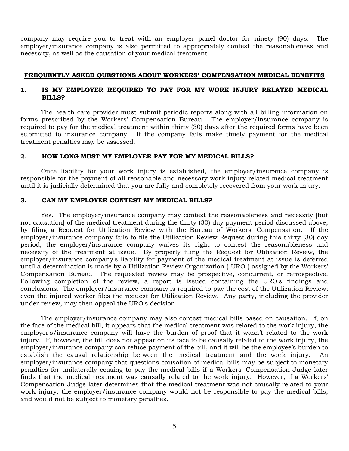company may require you to treat with an employer panel doctor for ninety (90) days. The employer/insurance company is also permitted to appropriately contest the reasonableness and necessity, as well as the causation of your medical treatment.

#### **FREQUENTLY ASKED QUESTIONS ABOUT WORKERS' COMPENSATION MEDICAL BENEFITS**

#### **1. IS MY EMPLOYER REQUIRED TO PAY FOR MY WORK INJURY RELATED MEDICAL BILLS?**

The health care provider must submit periodic reports along with all billing information on forms prescribed by the Workers' Compensation Bureau. The employer/insurance company is required to pay for the medical treatment within thirty (30) days after the required forms have been submitted to insurance company. If the company fails make timely payment for the medical treatment penalties may be assessed.

#### **2. HOW LONG MUST MY EMPLOYER PAY FOR MY MEDICAL BILLS?**

Once liability for your work injury is established, the employer/insurance company is responsible for the payment of all reasonable and necessary work injury related medical treatment until it is judicially determined that you are fully and completely recovered from your work injury.

#### **3. CAN MY EMPLOYER CONTEST MY MEDICAL BILLS?**

Yes. The employer/insurance company may contest the reasonableness and necessity [but not causation] of the medical treatment during the thirty (30) day payment period discussed above, by filing a Request for Utilization Review with the Bureau of Workers' Compensation. If the employer/insurance company fails to file the Utilization Review Request during this thirty (30) day period, the employer/insurance company waives its right to contest the reasonableness and necessity of the treatment at issue. By properly filing the Request for Utilization Review, the employer/insurance company's liability for payment of the medical treatment at issue is deferred until a determination is made by a Utilization Review Organization ("URO") assigned by the Workers' Compensation Bureau. The requested review may be prospective, concurrent, or retrospective. Following completion of the review, a report is issued containing the URO's findings and conclusions. The employer/insurance company is required to pay the cost of the Utilization Review; even the injured worker files the request for Utilization Review. Any party, including the provider under review, may then appeal the URO's decision.

The employer/insurance company may also contest medical bills based on causation. If, on the face of the medical bill, it appears that the medical treatment was related to the work injury, the employer's/insurance company will have the burden of proof that it wasn't related to the work injury. If, however, the bill does not appear on its face to be causally related to the work injury, the employer/insurance company can refuse payment of the bill, and it will be the employee's burden to establish the causal relationship between the medical treatment and the work injury. An employer/insurance company that questions causation of medical bills may be subject to monetary penalties for unilaterally ceasing to pay the medical bills if a Workers' Compensation Judge later finds that the medical treatment was causally related to the work injury. However, if a Workers' Compensation Judge later determines that the medical treatment was not causally related to your work injury, the employer/insurance company would not be responsible to pay the medical bills, and would not be subject to monetary penalties.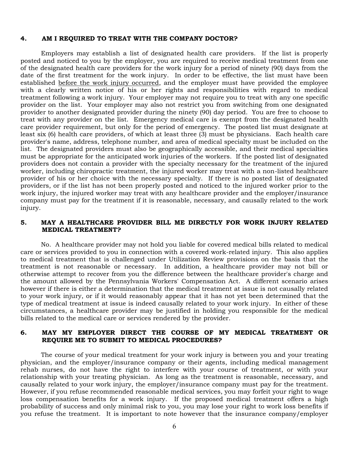#### **4. AM I REQUIRED TO TREAT WITH THE COMPANY DOCTOR?**

Employers may establish a list of designated health care providers. If the list is properly posted and noticed to you by the employer, you are required to receive medical treatment from one of the designated health care providers for the work injury for a period of ninety (90) days from the date of the first treatment for the work injury. In order to be effective, the list must have been established before the work injury occurred, and the employer must have provided the employee with a clearly written notice of his or her rights and responsibilities with regard to medical treatment following a work injury. Your employer may not require you to treat with any one specific provider on the list. Your employer may also not restrict you from switching from one designated provider to another designated provider during the ninety (90) day period. You are free to choose to treat with any provider on the list. Emergency medical care is exempt from the designated health care provider requirement, but only for the period of emergency. The posted list must designate at least six (6) health care providers, of which at least three (3) must be physicians. Each health care provider's name, address, telephone number, and area of medical specialty must be included on the list. The designated providers must also be geographically accessible, and their medical specialties must be appropriate for the anticipated work injuries of the workers. If the posted list of designated providers does not contain a provider with the specialty necessary for the treatment of the injured worker, including chiropractic treatment, the injured worker may treat with a non-listed healthcare provider of his or her choice with the necessary specialty. If there is no posted list of designated providers, or if the list has not been properly posted and noticed to the injured worker prior to the work injury, the injured worker may treat with any healthcare provider and the employer/insurance company must pay for the treatment if it is reasonable, necessary, and causally related to the work injury.

#### **5. MAY A HEALTHCARE PROVIDER BILL ME DIRECTLY FOR WORK INJURY RELATED MEDICAL TREATMENT?**

No. A healthcare provider may not hold you liable for covered medical bills related to medical care or services provided to you in connection with a covered work-related injury. This also applies to medical treatment that is challenged under Utilization Review provisions on the basis that the treatment is not reasonable or necessary. In addition, a healthcare provider may not bill or otherwise attempt to recover from you the difference between the healthcare provider's charge and the amount allowed by the Pennsylvania Workers' Compensation Act. A different scenario arises however if there is either a determination that the medical treatment at issue is not causally related to your work injury, or if it would reasonably appear that it has not yet been determined that the type of medical treatment at issue is indeed causally related to your work injury. In either of these circumstances, a healthcare provider may be justified in holding you responsible for the medical bills related to the medical care or services rendered by the provider.

#### **6. MAY MY EMPLOYER DIRECT THE COURSE OF MY MEDICAL TREATMENT OR REQUIRE ME TO SUBMIT TO MEDICAL PROCEDURES?**

The course of your medical treatment for your work injury is between you and your treating physician, and the employer/insurance company or their agents, including medical management rehab nurses, do not have the right to interfere with your course of treatment, or with your relationship with your treating physician. As long as the treatment is reasonable, necessary, and causally related to your work injury, the employer/insurance company must pay for the treatment. However, if you refuse recommended reasonable medical services, you may forfeit your right to wage loss compensation benefits for a work injury. If the proposed medical treatment offers a high probability of success and only minimal risk to you, you may lose your right to work loss benefits if you refuse the treatment. It is important to note however that the insurance company/employer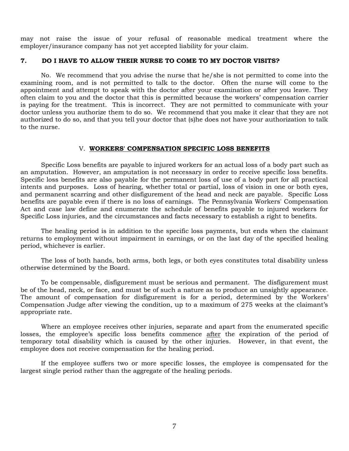may not raise the issue of your refusal of reasonable medical treatment where the employer/insurance company has not yet accepted liability for your claim.

#### **7. DO I HAVE TO ALLOW THEIR NURSE TO COME TO MY DOCTOR VISITS?**

No. We recommend that you advise the nurse that he/she is not permitted to come into the examining room, and is not permitted to talk to the doctor. Often the nurse will come to the appointment and attempt to speak with the doctor after your examination or after you leave. They often claim to you and the doctor that this is permitted because the workers' compensation carrier is paying for the treatment. This is incorrect. They are not permitted to communicate with your doctor unless you authorize them to do so. We recommend that you make it clear that they are not authorized to do so, and that you tell your doctor that (s)he does not have your authorization to talk to the nurse.

#### V. **WORKERS' COMPENSATION SPECIFIC LOSS BENEFITS**

<span id="page-10-0"></span>Specific Loss benefits are payable to injured workers for an actual loss of a body part such as an amputation. However, an amputation is not necessary in order to receive specific loss benefits. Specific loss benefits are also payable for the permanent loss of use of a body part for all practical intents and purposes. Loss of hearing, whether total or partial, loss of vision in one or both eyes, and permanent scarring and other disfigurement of the head and neck are payable. Specific Loss benefits are payable even if there is no loss of earnings. The Pennsylvania Workers' Compensation Act and case law define and enumerate the schedule of benefits payable to injured workers for Specific Loss injuries, and the circumstances and facts necessary to establish a right to benefits.

The healing period is in addition to the specific loss payments, but ends when the claimant returns to employment without impairment in earnings, or on the last day of the specified healing period, whichever is earlier.

The loss of both hands, both arms, both legs, or both eyes constitutes total disability unless otherwise determined by the Board.

To be compensable, disfigurement must be serious and permanent. The disfigurement must be of the head, neck, or face, and must be of such a nature as to produce an unsightly appearance. The amount of compensation for disfigurement is for a period, determined by the Workers' Compensation Judge after viewing the condition, up to a maximum of 275 weeks at the claimant's appropriate rate.

Where an employee receives other injuries, separate and apart from the enumerated specific losses, the employee's specific loss benefits commence after the expiration of the period of temporary total disability which is caused by the other injuries. However, in that event, the employee does not receive compensation for the healing period.

If the employee suffers two or more specific losses, the employee is compensated for the largest single period rather than the aggregate of the healing periods.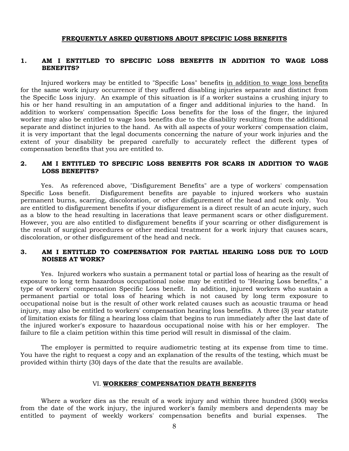#### **FREQUENTLY ASKED QUESTIONS ABOUT SPECIFIC LOSS BENEFITS**

#### **1. AM I ENTITLED TO SPECIFIC LOSS BENEFITS IN ADDITION TO WAGE LOSS BENEFITS?**

Injured workers may be entitled to "Specific Loss" benefits in addition to wage loss benefits for the same work injury occurrence if they suffered disabling injuries separate and distinct from the Specific Loss injury. An example of this situation is if a worker sustains a crushing injury to his or her hand resulting in an amputation of a finger and additional injuries to the hand. In addition to workers' compensation Specific Loss benefits for the loss of the finger, the injured worker may also be entitled to wage loss benefits due to the disability resulting from the additional separate and distinct injuries to the hand. As with all aspects of your workers' compensation claim, it is very important that the legal documents concerning the nature of your work injuries and the extent of your disability be prepared carefully to accurately reflect the different types of compensation benefits that you are entitled to.

#### **2. AM I ENTITLED TO SPECIFIC LOSS BENEFITS FOR SCARS IN ADDITION TO WAGE LOSS BENEFITS?**

Yes. As referenced above, "Disfigurement Benefits" are a type of workers' compensation Specific Loss benefit. Disfigurement benefits are payable to injured workers who sustain permanent burns, scarring, discoloration, or other disfigurement of the head and neck only. You are entitled to disfigurement benefits if your disfigurement is a direct result of an acute injury, such as a blow to the head resulting in lacerations that leave permanent scars or other disfigurement. However, you are also entitled to disfigurement benefits if your scarring or other disfigurement is the result of surgical procedures or other medical treatment for a work injury that causes scars, discoloration, or other disfigurement of the head and neck.

### **3. AM I ENTITLED TO COMPENSATION FOR PARTIAL HEARING LOSS DUE TO LOUD NOISES AT WORK?**

Yes. Injured workers who sustain a permanent total or partial loss of hearing as the result of exposure to long term hazardous occupational noise may be entitled to "Hearing Loss benefits," a type of workers' compensation Specific Loss benefit. In addition, injured workers who sustain a permanent partial or total loss of hearing which is not caused by long term exposure to occupational noise but is the result of other work related causes such as acoustic trauma or head injury, may also be entitled to workers' compensation hearing loss benefits. A three (3) year statute of limitation exists for filing a hearing loss claim that begins to run immediately after the last date of the injured worker's exposure to hazardous occupational noise with his or her employer. The failure to file a claim petition within this time period will result in dismissal of the claim.

The employer is permitted to require audiometric testing at its expense from time to time. You have the right to request a copy and an explanation of the results of the testing, which must be provided within thirty (30) days of the date that the results are available.

#### VI. **WORKERS' COMPENSATION DEATH BENEFITS**

<span id="page-11-0"></span>Where a worker dies as the result of a work injury and within three hundred (300) weeks from the date of the work injury, the injured worker's family members and dependents may be entitled to payment of weekly workers' compensation benefits and burial expenses. The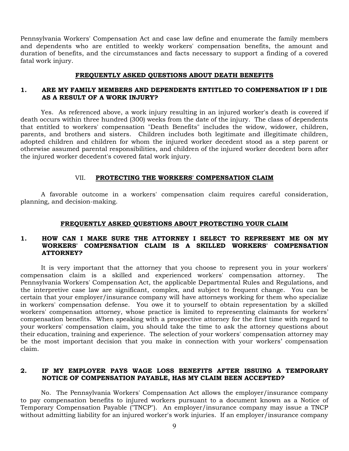Pennsylvania Workers' Compensation Act and case law define and enumerate the family members and dependents who are entitled to weekly workers' compensation benefits, the amount and duration of benefits, and the circumstances and facts necessary to support a finding of a covered fatal work injury.

#### **FREQUENTLY ASKED QUESTIONS ABOUT DEATH BENEFITS**

#### **1. ARE MY FAMILY MEMBERS AND DEPENDENTS ENTITLED TO COMPENSATION IF I DIE AS A RESULT OF A WORK INJURY?**

Yes. As referenced above, a work injury resulting in an injured worker's death is covered if death occurs within three hundred (300) weeks from the date of the injury. The class of dependents that entitled to workers' compensation "Death Benefits" includes the widow, widower, children, parents, and brothers and sisters. Children includes both legitimate and illegitimate children, adopted children and children for whom the injured worker decedent stood as a step parent or otherwise assumed parental responsibilities, and children of the injured worker decedent born after the injured worker decedent's covered fatal work injury.

#### VII. **PROTECTING THE WORKERS' COMPENSATION CLAIM**

<span id="page-12-0"></span>A favorable outcome in a workers' compensation claim requires careful consideration, planning, and decision-making.

#### **FREQUENTLY ASKED QUESTIONS ABOUT PROTECTING YOUR CLAIM**

#### **1. HOW CAN I MAKE SURE THE ATTORNEY I SELECT TO REPRESENT ME ON MY WORKERS' COMPENSATION CLAIM IS A SKILLED WORKERS' COMPENSATION ATTORNEY?**

It is very important that the attorney that you choose to represent you in your workers' compensation claim is a skilled and experienced workers' compensation attorney. Pennsylvania Workers' Compensation Act, the applicable Departmental Rules and Regulations, and the interpretive case law are significant, complex, and subject to frequent change. You can be certain that your employer/insurance company will have attorneys working for them who specialize in workers' compensation defense. You owe it to yourself to obtain representation by a skilled workers' compensation attorney, whose practice is limited to representing claimants for workers' compensation benefits. When speaking with a prospective attorney for the first time with regard to your workers' compensation claim, you should take the time to ask the attorney questions about their education, training and experience. The selection of your workers' compensation attorney may be the most important decision that you make in connection with your workers' compensation claim.

#### **2. IF MY EMPLOYER PAYS WAGE LOSS BENEFITS AFTER ISSUING A TEMPORARY NOTICE OF COMPENSATION PAYABLE, HAS MY CLAIM BEEN ACCEPTED?**

No. The Pennsylvania Workers' Compensation Act allows the employer/insurance company to pay compensation benefits to injured workers pursuant to a document known as a Notice of Temporary Compensation Payable ("TNCP"). An employer/insurance company may issue a TNCP without admitting liability for an injured worker's work injuries. If an employer/insurance company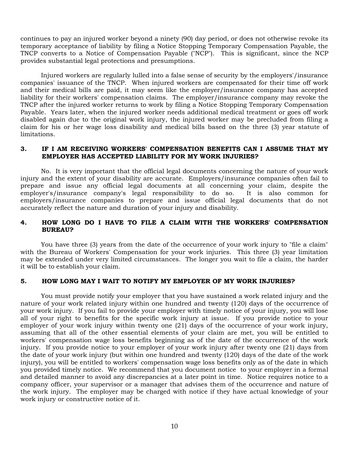continues to pay an injured worker beyond a ninety (90) day period, or does not otherwise revoke its temporary acceptance of liability by filing a Notice Stopping Temporary Compensation Payable, the TNCP converts to a Notice of Compensation Payable ("NCP"). This is significant, since the NCP provides substantial legal protections and presumptions.

Injured workers are regularly lulled into a false sense of security by the employers'/insurance companies' issuance of the TNCP. When injured workers are compensated for their time off work and their medical bills are paid, it may seem like the employer/insurance company has accepted liability for their workers' compensation claims. The employer/insurance company may revoke the TNCP after the injured worker returns to work by filing a Notice Stopping Temporary Compensation Payable. Years later, when the injured worker needs additional medical treatment or goes off work disabled again due to the original work injury, the injured worker may be precluded from filing a claim for his or her wage loss disability and medical bills based on the three (3) year statute of limitations.

#### **3. IF I AM RECEIVING WORKERS' COMPENSATION BENEFITS CAN I ASSUME THAT MY EMPLOYER HAS ACCEPTED LIABILITY FOR MY WORK INJURIES?**

No. It is very important that the official legal documents concerning the nature of your work injury and the extent of your disability are accurate. Employers/insurance companies often fail to prepare and issue any official legal documents at all concerning your claim, despite the employer's/insurance company's legal responsibility to do so. It is also common for employers/insurance companies to prepare and issue official legal documents that do not accurately reflect the nature and duration of your injury and disability.

#### **4. HOW LONG DO I HAVE TO FILE A CLAIM WITH THE WORKERS' COMPENSATION BUREAU?**

You have three (3) years from the date of the occurrence of your work injury to "file a claim" with the Bureau of Workers' Compensation for your work injuries. This three (3) year limitation may be extended under very limited circumstances. The longer you wait to file a claim, the harder it will be to establish your claim.

#### **5. HOW LONG MAY I WAIT TO NOTIFY MY EMPLOYER OF MY WORK INJURIES?**

You must provide notify your employer that you have sustained a work related injury and the nature of your work related injury within one hundred and twenty (120) days of the occurrence of your work injury. If you fail to provide your employer with timely notice of your injury, you will lose all of your right to benefits for the specific work injury at issue. If you provide notice to your employer of your work injury within twenty one (21) days of the occurrence of your work injury, assuming that all of the other essential elements of your claim are met, you will be entitled to workers' compensation wage loss benefits beginning as of the date of the occurrence of the work injury. If you provide notice to your employer of your work injury after twenty one (21) days from the date of your work injury (but within one hundred and twenty (120) days of the date of the work injury), you will be entitled to workers' compensation wage loss benefits only as of the date in which you provided timely notice. We recommend that you document notice to your employer in a formal and detailed manner to avoid any discrepancies at a later point in time. Notice requires notice to a company officer, your supervisor or a manager that advises them of the occurrence and nature of the work injury. The employer may be charged with notice if they have actual knowledge of your work injury or constructive notice of it.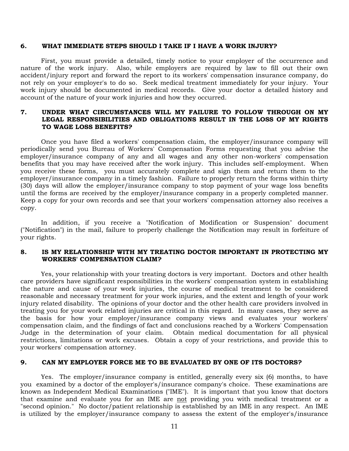#### **6. WHAT IMMEDIATE STEPS SHOULD I TAKE IF I HAVE A WORK INJURY?**

First, you must provide a detailed, timely notice to your employer of the occurrence and nature of the work injury. Also, while employers are required by law to fill out their own accident/injury report and forward the report to its workers' compensation insurance company, do not rely on your employer's to do so. Seek medical treatment immediately for your injury. Your work injury should be documented in medical records. Give your doctor a detailed history and account of the nature of your work injuries and how they occurred.

#### **7. UNDER WHAT CIRCUMSTANCES WILL MY FAILURE TO FOLLOW THROUGH ON MY LEGAL RESPONSIBILITIES AND OBLIGATIONS RESULT IN THE LOSS OF MY RIGHTS TO WAGE LOSS BENEFITS?**

Once you have filed a workers' compensation claim, the employer/insurance company will periodically send you Bureau of Workers' Compensation Forms requesting that you advise the employer/insurance company of any and all wages and any other non-workers' compensation benefits that you may have received after the work injury. This includes self-employment. When you receive these forms, you must accurately complete and sign them and return them to the employer/insurance company in a timely fashion. Failure to properly return the forms within thirty (30) days will allow the employer/insurance company to stop payment of your wage loss benefits until the forms are received by the employer/insurance company in a properly completed manner. Keep a copy for your own records and see that your workers' compensation attorney also receives a copy.

In addition, if you receive a "Notification of Modification or Suspension" document ("Notification") in the mail, failure to properly challenge the Notification may result in forfeiture of your rights.

### **8. IS MY RELATIONSHIP WITH MY TREATING DOCTOR IMPORTANT IN PROTECTING MY WORKERS' COMPENSATION CLAIM?**

Yes, your relationship with your treating doctors is very important. Doctors and other health care providers have significant responsibilities in the workers' compensation system in establishing the nature and cause of your work injuries, the course of medical treatment to be considered reasonable and necessary treatment for your work injuries, and the extent and length of your work injury related disability. The opinions of your doctor and the other health care providers involved in treating you for your work related injuries are critical in this regard. In many cases, they serve as the basis for how your employer/insurance company views and evaluates your workers' compensation claim, and the findings of fact and conclusions reached by a Workers' Compensation Judge in the determination of your claim. Obtain medical documentation for all physical restrictions, limitations or work excuses. Obtain a copy of your restrictions, and provide this to your workers' compensation attorney.

#### **9. CAN MY EMPLOYER FORCE ME TO BE EVALUATED BY ONE OF ITS DOCTORS?**

Yes. The employer/insurance company is entitled, generally every six (6) months, to have you examined by a doctor of the employer's/insurance company's choice. These examinations are known as Independent Medical Examinations ("IME"). It is important that you know that doctors that examine and evaluate you for an IME are not providing you with medical treatment or a "second opinion." No doctor/patient relationship is established by an IME in any respect. An IME is utilized by the employer/insurance company to assess the extent of the employer's/insurance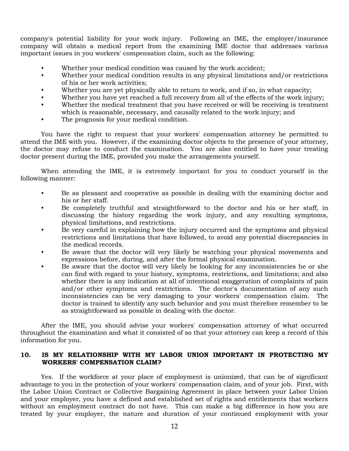company's potential liability for your work injury. Following an IME, the employer/insurance company will obtain a medical report from the examining IME doctor that addresses various important issues in you workers' compensation claim, such as the following:

- Whether your medical condition was caused by the work accident;
- Whether your medical condition results in any physical limitations and/or restrictions of his or her work activities;
- Whether you are yet physically able to return to work, and if so, in what capacity;
- Whether you have yet reached a full recovery from all of the effects of the work injury;
- Whether the medical treatment that you have received or will be receiving is treatment which is reasonable, necessary, and causally related to the work injury; and
- The prognosis for your medical condition.

You have the right to request that your workers' compensation attorney be permitted to attend the IME with you. However, if the examining doctor objects to the presence of your attorney, the doctor may refuse to conduct the examination. You are also entitled to have your treating doctor present during the IME, provided you make the arrangements yourself.

When attending the IME, it is extremely important for you to conduct yourself in the following manner:

- Be as pleasant and cooperative as possible in dealing with the examining doctor and his or her staff.
- Be completely truthful and straightforward to the doctor and his or her staff, in discussing the history regarding the work injury, and any resulting symptoms, physical limitations, and restrictions.
- Be very careful in explaining how the injury occurred and the symptoms and physical restrictions and limitations that have followed, to avoid any potential discrepancies in the medical records.
- Be aware that the doctor will very likely be watching your physical movements and expressions before, during, and after the formal physical examination.
- Be aware that the doctor will very likely be looking for any inconsistencies he or she can find with regard to your history, symptoms, restrictions, and limitations; and also whether there is any indication at all of intentional exaggeration of complaints of pain and/or other symptoms and restrictions. The doctor's documentation of any such inconsistencies can be very damaging to your workers' compensation claim. The doctor is trained to identify any such behavior and you must therefore remember to be as straightforward as possible in dealing with the doctor.

After the IME, you should advise your workers' compensation attorney of what occurred throughout the examination and what it consisted of so that your attorney can keep a record of this information for you.

#### **10. IS MY RELATIONSHIP WITH MY LABOR UNION IMPORTANT IN PROTECTING MY WORKERS' COMPENSATION CLAIM?**

Yes. If the workforce at your place of employment is unionized, that can be of significant advantage to you in the protection of your workers' compensation claim, and of your job. First, with the Labor Union Contract or Collective Bargaining Agreement in place between your Labor Union and your employer, you have a defined and established set of rights and entitlements that workers without an employment contract do not have. This can make a big difference in how you are treated by your employer, the nature and duration of your continued employment with your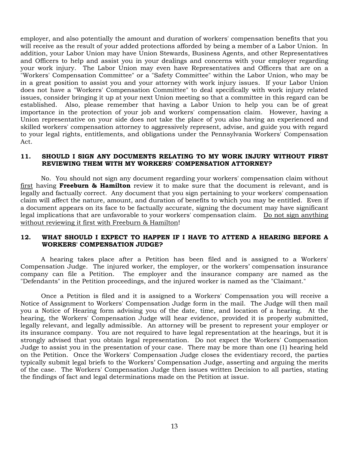employer, and also potentially the amount and duration of workers' compensation benefits that you will receive as the result of your added protections afforded by being a member of a Labor Union. In addition, your Labor Union may have Union Stewards, Business Agents, and other Representatives and Officers to help and assist you in your dealings and concerns with your employer regarding your work injury. The Labor Union may even have Representatives and Officers that are on a "Workers' Compensation Committee" or a "Safety Committee" within the Labor Union, who may be in a great position to assist you and your attorney with work injury issues. If your Labor Union does not have a "Workers' Compensation Committee" to deal specifically with work injury related issues, consider bringing it up at your next Union meeting so that a committee in this regard can be established. Also, please remember that having a Labor Union to help you can be of great importance in the protection of your job and workers' compensation claim. However, having a Union representative on your side does not take the place of you also having an experienced and skilled workers' compensation attorney to aggressively represent, advise, and guide you with regard to your legal rights, entitlements, and obligations under the Pennsylvania Workers' Compensation Act.

#### **11. SHOULD I SIGN ANY DOCUMENTS RELATING TO MY WORK INJURY WITHOUT FIRST REVIEWING THEM WITH MY WORKERS' COMPENSATION ATTORNEY?**

No. You should not sign any document regarding your workers' compensation claim without first having **Freeburn & Hamilton** review it to make sure that the document is relevant, and is legally and factually correct. Any document that you sign pertaining to your workers' compensation claim will affect the nature, amount, and duration of benefits to which you may be entitled. Even if a document appears on its face to be factually accurate, signing the document may have significant legal implications that are unfavorable to your workers' compensation claim. Do not sign anything without reviewing it first with Freeburn & Hamilton!

#### **12. WHAT SHOULD I EXPECT TO HAPPEN IF I HAVE TO ATTEND A HEARING BEFORE A WORKERS' COMPENSATION JUDGE?**

A hearing takes place after a Petition has been filed and is assigned to a Workers' Compensation Judge. The injured worker, the employer, or the workers' compensation insurance company can file a Petition. The employer and the insurance company are named as the "Defendants" in the Petition proceedings, and the injured worker is named as the "Claimant."

Once a Petition is filed and it is assigned to a Workers' Compensation you will receive a Notice of Assignment to Workers' Compensation Judge form in the mail. The Judge will then mail you a Notice of Hearing form advising you of the date, time, and location of a hearing. At the hearing, the Workers' Compensation Judge will hear evidence, provided it is properly submitted, legally relevant, and legally admissible. An attorney will be present to represent your employer or its insurance company. You are not required to have legal representation at the hearings, but it is strongly advised that you obtain legal representation. Do not expect the Workers' Compensation Judge to assist you in the presentation of your case. There may be more than one (1) hearing held on the Petition. Once the Workers' Compensation Judge closes the evidentiary record, the parties typically submit legal briefs to the Workers' Compensation Judge, asserting and arguing the merits of the case. The Workers' Compensation Judge then issues written Decision to all parties, stating the findings of fact and legal determinations made on the Petition at issue.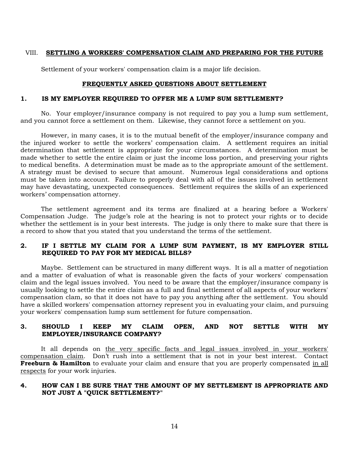### <span id="page-17-0"></span>VIII. **SETTLING A WORKERS' COMPENSATION CLAIM AND PREPARING FOR THE FUTURE**

Settlement of your workers' compensation claim is a major life decision.

#### **FREQUENTLY ASKED QUESTIONS ABOUT SETTLEMENT**

#### **1. IS MY EMPLOYER REQUIRED TO OFFER ME A LUMP SUM SETTLEMENT?**

No. Your employer/insurance company is not required to pay you a lump sum settlement, and you cannot force a settlement on them. Likewise, they cannot force a settlement on you.

However, in many cases, it is to the mutual benefit of the employer/insurance company and the injured worker to settle the workers' compensation claim. A settlement requires an initial determination that settlement is appropriate for your circumstances. A determination must be made whether to settle the entire claim or just the income loss portion, and preserving your rights to medical benefits. A determination must be made as to the appropriate amount of the settlement. A strategy must be devised to secure that amount. Numerous legal considerations and options must be taken into account. Failure to properly deal with all of the issues involved in settlement may have devastating, unexpected consequences. Settlement requires the skills of an experienced workers' compensation attorney.

The settlement agreement and its terms are finalized at a hearing before a Workers' Compensation Judge. The judge's role at the hearing is not to protect your rights or to decide whether the settlement is in your best interests. The judge is only there to make sure that there is a record to show that you stated that you understand the terms of the settlement.

### **2. IF I SETTLE MY CLAIM FOR A LUMP SUM PAYMENT, IS MY EMPLOYER STILL REQUIRED TO PAY FOR MY MEDICAL BILLS?**

Maybe. Settlement can be structured in many different ways. It is all a matter of negotiation and a matter of evaluation of what is reasonable given the facts of your workers' compensation claim and the legal issues involved. You need to be aware that the employer/insurance company is usually looking to settle the entire claim as a full and final settlement of all aspects of your workers' compensation clam, so that it does not have to pay you anything after the settlement. You should have a skilled workers' compensation attorney represent you in evaluating your claim, and pursuing your workers' compensation lump sum settlement for future compensation.

### **3. SHOULD I KEEP MY CLAIM OPEN, AND NOT SETTLE WITH MY EMPLOYER/INSURANCE COMPANY?**

It all depends on the very specific facts and legal issues involved in your workers' compensation claim. Don't rush into a settlement that is not in your best interest. Contact **Freeburn & Hamilton** to evaluate your claim and ensure that you are properly compensated in all respects for your work injuries.

#### **4. HOW CAN I BE SURE THAT THE AMOUNT OF MY SETTLEMENT IS APPROPRIATE AND NOT JUST A "QUICK SETTLEMENT?"**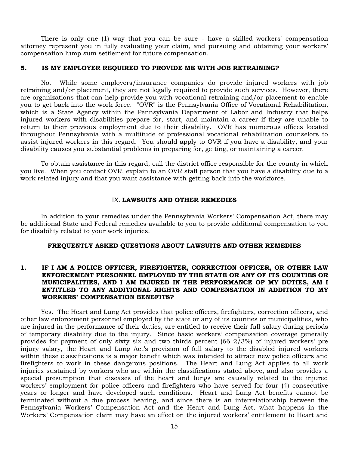There is only one (1) way that you can be sure - have a skilled workers' compensation attorney represent you in fully evaluating your claim, and pursuing and obtaining your workers' compensation lump sum settlement for future compensation.

#### **5. IS MY EMPLOYER REQUIRED TO PROVIDE ME WITH JOB RETRAINING?**

No. While some employers/insurance companies do provide injured workers with job retraining and/or placement, they are not legally required to provide such services. However, there are organizations that can help provide you with vocational retraining and/or placement to enable you to get back into the work force. "OVR" is the Pennsylvania Office of Vocational Rehabilitation, which is a State Agency within the Pennsylvania Department of Labor and Industry that helps injured workers with disabilities prepare for, start, and maintain a career if they are unable to return to their previous employment due to their disability. OVR has numerous offices located throughout Pennsylvania with a multitude of professional vocational rehabilitation counselors to assist injured workers in this regard. You should apply to OVR if you have a disability, and your disability causes you substantial problems in preparing for, getting, or maintaining a career.

To obtain assistance in this regard, call the district office responsible for the county in which you live. When you contact OVR, explain to an OVR staff person that you have a disability due to a work related injury and that you want assistance with getting back into the workforce.

#### IX. **LAWSUITS AND OTHER REMEDIES**

<span id="page-18-0"></span>In addition to your remedies under the Pennsylvania Workers' Compensation Act, there may be additional State and Federal remedies available to you to provide additional compensation to you for disability related to your work injuries.

#### **FREQUENTLY ASKED QUESTIONS ABOUT LAWSUITS AND OTHER REMEDIES**

#### **1. IF I AM A POLICE OFFICER, FIREFIGHTER, CORRECTION OFFICER, OR OTHER LAW ENFORCEMENT PERSONNEL EMPLOYED BY THE STATE OR ANY OF ITS COUNTIES OR MUNICIPALITIES, AND I AM INJURED IN THE PERFORMANCE OF MY DUTIES, AM I ENTITLED TO ANY ADDITIONAL RIGHTS AND COMPENSATION IN ADDITION TO MY WORKERS' COMPENSATION BENEFITS?**

Yes. The Heart and Lung Act provides that police officers, firefighters, correction officers, and other law enforcement personnel employed by the state or any of its counties or municipalities, who are injured in the performance of their duties, are entitled to receive their full salary during periods of temporary disability due to the injury. Since basic workers' compensation coverage generally provides for payment of only sixty six and two thirds percent (66 2/3%) of injured workers' pre injury salary, the Heart and Lung Act's provision of full salary to the disabled injured workers within these classifications is a major benefit which was intended to attract new police officers and firefighters to work in these dangerous positions. The Heart and Lung Act applies to all work injuries sustained by workers who are within the classifications stated above, and also provides a special presumption that diseases of the heart and lungs are causally related to the injured workers' employment for police officers and firefighters who have served for four (4) consecutive years or longer and have developed such conditions. Heart and Lung Act benefits cannot be terminated without a due process hearing, and since there is an interrelationship between the Pennsylvania Workers' Compensation Act and the Heart and Lung Act, what happens in the Workers' Compensation claim may have an effect on the injured workers' entitlement to Heart and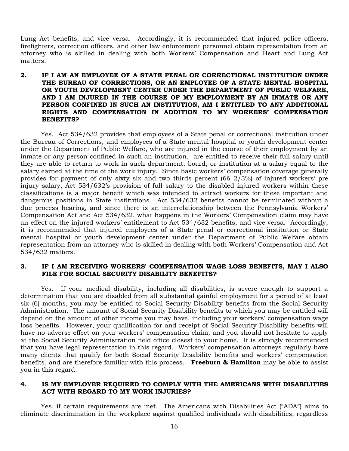Lung Act benefits, and vice versa. Accordingly, it is recommended that injured police officers, firefighters, correction officers, and other law enforcement personnel obtain representation from an attorney who is skilled in dealing with both Workers' Compensation and Heart and Lung Act matters.

#### **2. IF I AM AN EMPLOYEE OF A STATE PENAL OR CORRECTIONAL INSTITUTION UNDER THE BUREAU OF CORRECTIONS, OR AN EMPLOYEE OF A STATE MENTAL HOSPITAL OR YOUTH DEVELOPMENT CENTER UNDER THE DEPARTMENT OF PUBLIC WELFARE, AND I AM INJURED IN THE COURSE OF MY EMPLOYMENT BY AN INMATE OR ANY PERSON CONFINED IN SUCH AN INSTITUTION, AM I ENTITLED TO ANY ADDITIONAL RIGHTS AND COMPENSATION IN ADDITION TO MY WORKERS' COMPENSATION BENEFITS?**

Yes. Act 534/632 provides that employees of a State penal or correctional institution under the Bureau of Corrections, and employees of a State mental hospital or youth development center under the Department of Public Welfare, who are injured in the course of their employment by an inmate or any person confined in such an institution, are entitled to receive their full salary until they are able to return to work in such department, board, or institution at a salary equal to the salary earned at the time of the work injury. Since basic workers' compensation coverage generally provides for payment of only sixty six and two thirds percent (66 2/3%) of injured workers' pre injury salary, Act 534/632's provision of full salary to the disabled injured workers within these classifications is a major benefit which was intended to attract workers for these important and dangerous positions in State institutions. Act 534/632 benefits cannot be terminated without a due process hearing, and since there is an interrelationship between the Pennsylvania Workers' Compensation Act and Act 534/632, what happens in the Workers' Compensation claim may have an effect on the injured workers' entitlement to Act 534/632 benefits, and vice versa. Accordingly, it is recommended that injured employees of a State penal or correctional institution or State mental hospital or youth development center under the Department of Public Welfare obtain representation from an attorney who is skilled in dealing with both Workers' Compensation and Act 534/632 matters.

#### **3. IF I AM RECEIVING WORKERS' COMPENSATION WAGE LOSS BENEFITS, MAY I ALSO FILE FOR SOCIAL SECURITY DISABILITY BENEFITS?**

Yes. If your medical disability, including all disabilities, is severe enough to support a determination that you are disabled from all substantial gainful employment for a period of at least six (6) months, you may be entitled to Social Security Disability benefits from the Social Security Administration. The amount of Social Security Disability benefits to which you may be entitled will depend on the amount of other income you may have, including your workers' compensation wage loss benefits. However, your qualification for and receipt of Social Security Disability benefits will have no adverse effect on your workers' compensation claim, and you should not hesitate to apply at the Social Security Administration field office closest to your home. It is strongly recommended that you have legal representation in this regard. Workers' compensation attorneys regularly have many clients that qualify for both Social Security Disability benefits and workers' compensation benefits, and are therefore familiar with this process. **Freeburn & Hamilton** may be able to assist you in this regard.

#### **4. IS MY EMPLOYER REQUIRED TO COMPLY WITH THE AMERICANS WITH DISABILITIES ACT WITH REGARD TO MY WORK INJURIES?**

Yes, if certain requirements are met. The Americans with Disabilities Act ("ADA") aims to eliminate discrimination in the workplace against qualified individuals with disabilities, regardless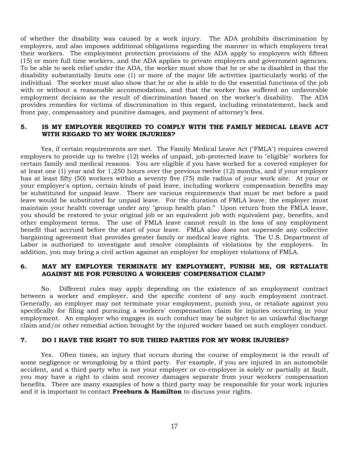of whether the disability was caused by a work injury. The ADA prohibits discrimination by employers, and also imposes additional obligations regarding the manner in which employers treat their workers. The employment protection provisions of the ADA apply to employers with fifteen (15) or more full time workers, and the ADA applies to private employers and government agencies. To be able to seek relief under the ADA, the worker must show that he or she is disabled in that the disability substantially limits one (1) or more of the major life activities (particularly work) of the individual. The worker must also show that he or she is able to do the essential functions of the job with or without a reasonable accommodation, and that the worker has suffered an unfavorable employment decision as the result of discrimination based on the worker's disability. The ADA provides remedies for victims of discrimination in this regard, including reinstatement, back and front pay, compensatory and punitive damages, and payment of attorney's fees.

#### **5. IS MY EMPLOYER REQUIRED TO COMPLY WITH THE FAMILY MEDICAL LEAVE ACT WITH REGARD TO MY WORK INJURIES?**

Yes, if certain requirements are met. The Family Medical Leave Act ("FMLA") requires covered employers to provide up to twelve (12) weeks of unpaid, job-protected leave to "eligible" workers for certain family and medical reasons. You are eligible if you have worked for a covered employer for at least one (1) year and for 1,250 hours over the previous twelve (12) months, and if your employer has at least fifty (50) workers within a seventy five (75) mile radius of your work site. At your or your employer's option, certain kinds of paid leave, including workers' compensation benefits may be substituted for unpaid leave. There are various requirements that must be met before a paid leave would be substituted for unpaid leave. For the duration of FMLA leave, the employer must maintain your health coverage under any "group health plan." Upon return from the FMLA leave, you should be restored to your original job or an equivalent job with equivalent pay, benefits, and other employment terms. The use of FMLA leave cannot result in the loss of any employment benefit that accrued before the start of your leave. FMLA also does not supersede any collective bargaining agreement that provides greater family or medical leave rights. The U.S. Department of Labor is authorized to investigate and resolve complaints of violations by the employers. In addition, you may bring a civil action against an employer for employer violations of FMLA.

#### **6. MAY MY EMPLOYER TERMINATE MY EMPLOYMENT, PUNISH ME, OR RETALIATE AGAINST ME FOR PURSUING A WORKERS' COMPENSATION CLAIM?**

No. Different rules may apply depending on the existence of an employment contract between a worker and employer, and the specific content of any such employment contract. Generally, an employer may not terminate your employment, punish you, or retaliate against you specifically for filing and pursuing a workers' compensation claim for injuries occurring in your employment. An employer who engages in such conduct may be subject to an unlawful discharge claim and/or other remedial action brought by the injured worker based on such employer conduct.

#### **7. DO I HAVE THE RIGHT TO SUE THIRD PARTIES FOR MY WORK INJURIES?**

Yes. Often times, an injury that occurs during the course of employment is the result of some negligence or wrongdoing by a third party. For example, if you are injured in an automobile accident, and a third party who is not your employer or co-employee is solely or partially at fault, you may have a right to claim and recover damages separate from your workers' compensation benefits. There are many examples of how a third party may be responsible for your work injuries and it is important to contact **Freeburn & Hamilton** to discuss your rights.